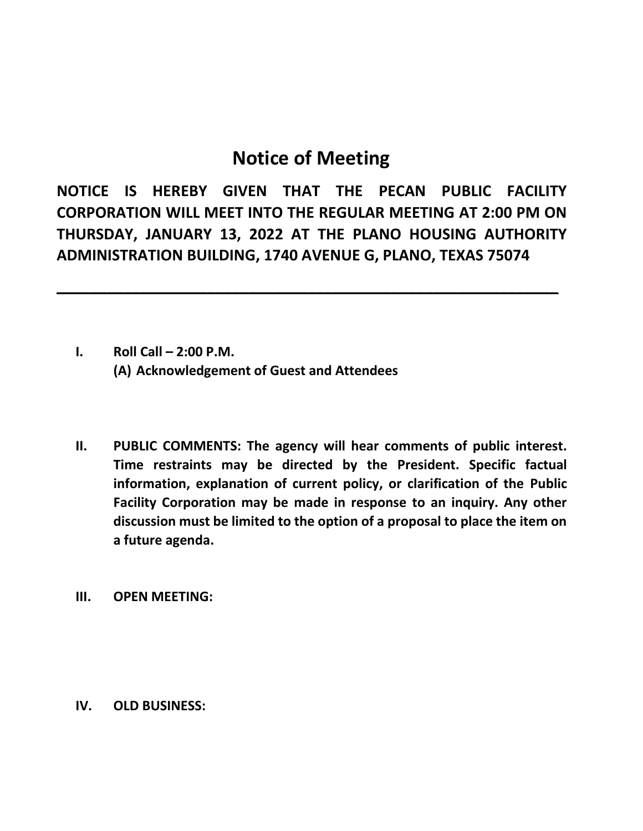## **Notice of Meeting**

**NOTICE IS HEREBY GIVEN THAT THE PECAN PUBLIC FACILITY CORPORATION WILL MEET INTO THE REGULAR MEETING AT 2:00 PM ON THURSDAY, JANUARY 13, 2022 AT THE PLANO HOUSING AUTHORITY ADMINISTRATION BUILDING, 1740 AVENUE G, PLANO, TEXAS 75074**

**\_\_\_\_\_\_\_\_\_\_\_\_\_\_\_\_\_\_\_\_\_\_\_\_\_\_\_\_\_\_\_\_\_\_\_\_\_\_\_\_\_\_\_\_\_\_\_\_\_\_\_\_\_\_\_\_\_\_\_\_**

- **I. Roll Call – 2:00 P.M. (A) Acknowledgement of Guest and Attendees**
- **II. PUBLIC COMMENTS: The agency will hear comments of public interest. Time restraints may be directed by the President. Specific factual information, explanation of current policy, or clarification of the Public Facility Corporation may be made in response to an inquiry. Any other discussion must be limited to the option of a proposal to place the item on a future agenda.**
- **III. OPEN MEETING:**

**IV. OLD BUSINESS:**